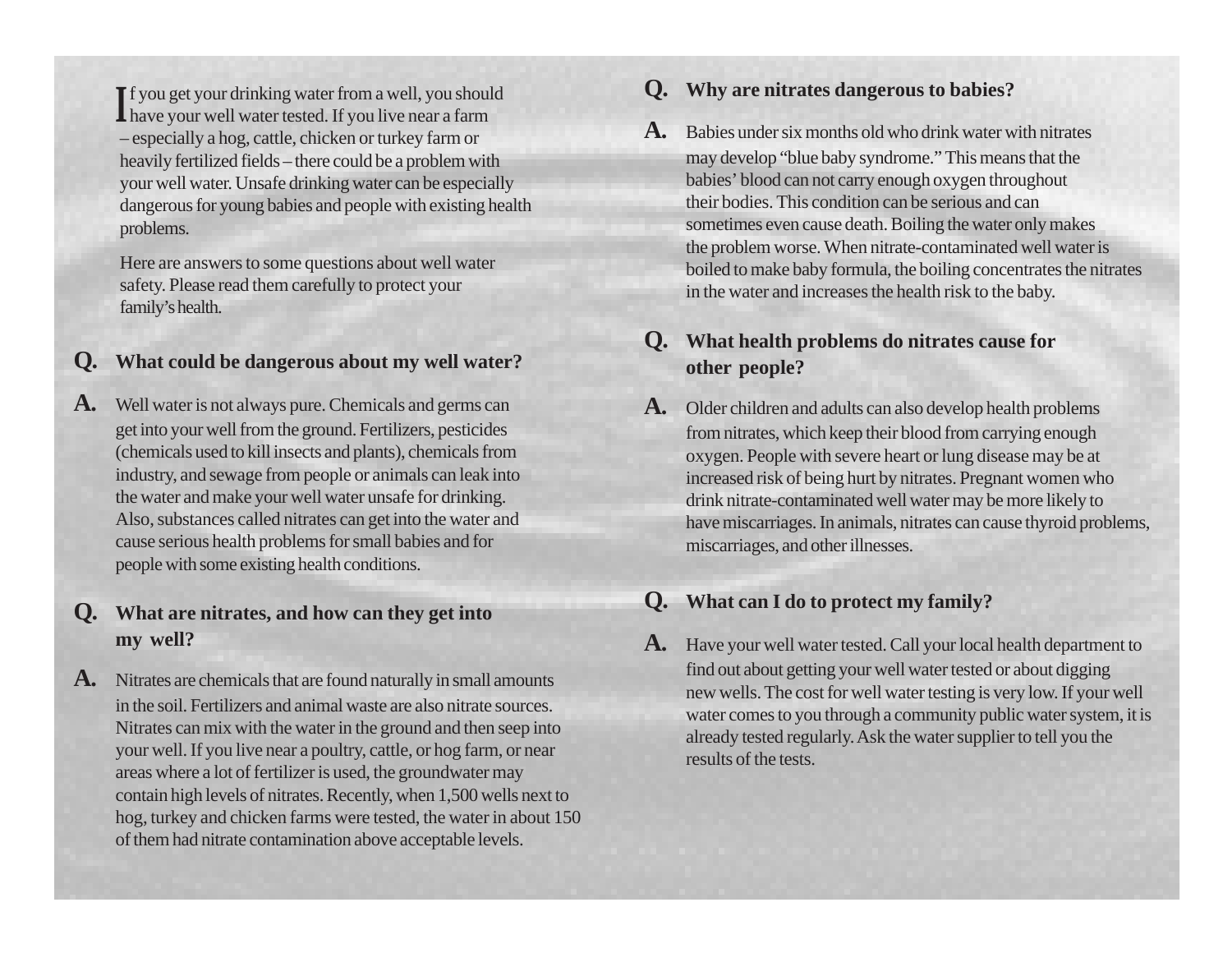**If** you get your drinking water from a well, you should have your well water tested. If you live near a farm – especially a hog, cattle, chicken or turkey farm or heavily fertilized fields – there could be a problem with your well water. Unsafe drinking water can be especially dangerous for young babies and people with existing health problems.

Here are answers to some questions about well water safety. Please read them carefully to protect your family's health.

### **Q. What could be dangerous about my well water?**

**A.** Well water is not always pure. Chemicals and germs can get into your well from the ground. Fertilizers, pesticides (chemicals used to kill insects and plants), chemicals from industry, and sewage from people or animals can leak into the water and make your well water unsafe for drinking. Also, substances called nitrates can get into the water and cause serious health problems for small babies and for people with some existing health conditions.

## **Q. What are nitrates, and how can they get into my well?**

**A.** Nitrates are chemicals that are found naturally in small amounts in the soil. Fertilizers and animal waste are also nitrate sources. Nitrates can mix with the water in the ground and then seep into your well. If you live near a poultry, cattle, or hog farm, or near areas where a lot of fertilizer is used, the groundwater may contain high levels of nitrates. Recently, when 1,500 wells next to hog, turkey and chicken farms were tested, the water in about 150 of them had nitrate contamination above acceptable levels.

#### **<sup>I</sup> Q. Why are nitrates dangerous to babies?**

**A.** Babies under six months old who drink water with nitrates may develop "blue baby syndrome." This means that the babies' blood can not carry enough oxygen throughout their bodies. This condition can be serious and can sometimes even cause death. Boiling the water only makes the problem worse. When nitrate-contaminated well water is boiled to make baby formula, the boiling concentrates the nitrates in the water and increases the health risk to the baby.

## **Q. What health problems do nitrates cause for other people?**

**A.** Older children and adults can also develop health problems from nitrates, which keep their blood from carrying enough oxygen. People with severe heart or lung disease may be at increased risk of being hurt by nitrates. Pregnant women who drink nitrate-contaminated well water may be more likely to have miscarriages. In animals, nitrates can cause thyroid problems, miscarriages, and other illnesses.

# **Q. What can I do to protect my family?**

**A.** Have your well water tested. Call your local health department to find out about getting your well water tested or about digging new wells. The cost for well water testing is very low. If your well water comes to you through a community public water system, it is already tested regularly. Ask the water supplier to tell you the results of the tests.